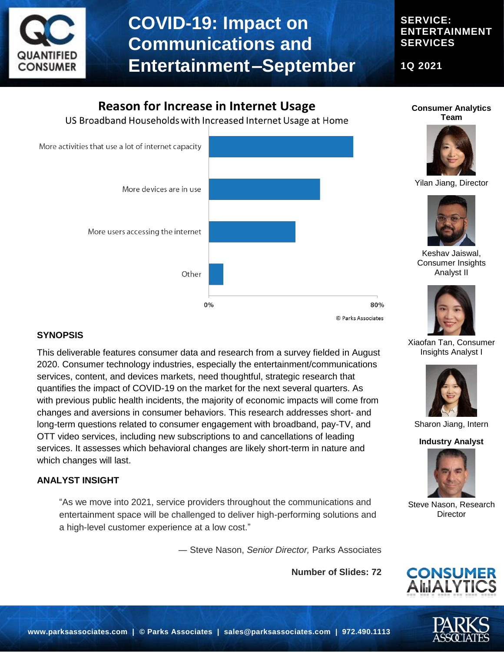

# **COVID-19: Impact on Communications and Entertainment–September**

## **SERVICE: ENTERTAINMENT SERVICES**

**1Q 2021**

# **Reason for Increase in Internet Usage**

US Broadband Households with Increased Internet Usage at Home



### **SYNOPSIS**

This deliverable features consumer data and research from a survey fielded in August 2020. Consumer technology industries, especially the entertainment/communications services, content, and devices markets, need thoughtful, strategic research that quantifies the impact of COVID-19 on the market for the next several quarters. As with previous public health incidents, the majority of economic impacts will come from changes and aversions in consumer behaviors. This research addresses short- and long-term questions related to consumer engagement with broadband, pay-TV, and OTT video services, including new subscriptions to and cancellations of leading services. It assesses which behavioral changes are likely short-term in nature and which changes will last.

### **ANALYST INSIGHT**

"As we move into 2021, service providers throughout the communications and entertainment space will be challenged to deliver high-performing solutions and a high-level customer experience at a low cost."

― Steve Nason, *Senior Director,* Parks Associates

**Number of Slides: 72**





Yilan Jiang, Director



Xiaofan Tan, Consumer Insights Analyst I



Sharon Jiang, Intern

#### **Industry Analyst**



Steve Nason, Research **Director** 



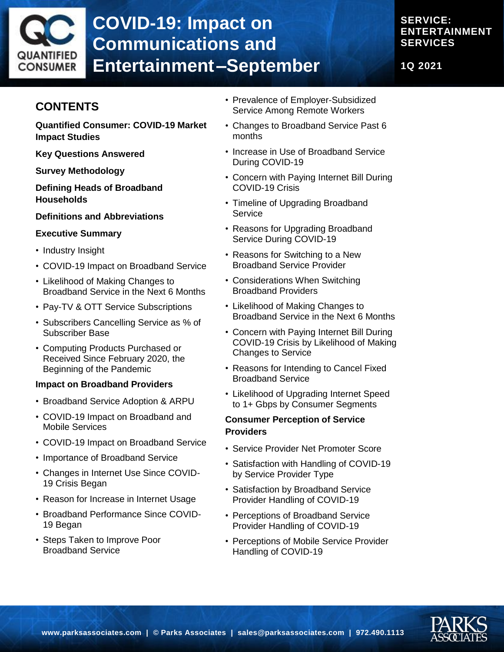

# **COVID-19: Impact on Communications and Entertainment–September**

# **SERVICE: ENTERTAINMENT SERVICES**

**1Q 2021**

# **CONTENTS**

**Quantified Consumer: COVID-19 Market Impact Studies**

**Key Questions Answered**

#### **Survey Methodology**

**Defining Heads of Broadband Households**

#### **Definitions and Abbreviations**

#### **Executive Summary**

- Industry Insight
- COVID-19 Impact on Broadband Service
- Likelihood of Making Changes to Broadband Service in the Next 6 Months
- Pay-TV & OTT Service Subscriptions
- Subscribers Cancelling Service as % of Subscriber Base
- Computing Products Purchased or Received Since February 2020, the Beginning of the Pandemic

#### **Impact on Broadband Providers**

- Broadband Service Adoption & ARPU
- COVID-19 Impact on Broadband and Mobile Services
- COVID-19 Impact on Broadband Service
- Importance of Broadband Service
- Changes in Internet Use Since COVID-19 Crisis Began
- Reason for Increase in Internet Usage
- Broadband Performance Since COVID-19 Began
- Steps Taken to Improve Poor Broadband Service
- Prevalence of Employer-Subsidized Service Among Remote Workers
- Changes to Broadband Service Past 6 months
- Increase in Use of Broadband Service During COVID-19
- Concern with Paying Internet Bill During COVID-19 Crisis
- Timeline of Upgrading Broadband **Service**
- Reasons for Upgrading Broadband Service During COVID-19
- Reasons for Switching to a New Broadband Service Provider
- Considerations When Switching Broadband Providers
- Likelihood of Making Changes to Broadband Service in the Next 6 Months
- Concern with Paying Internet Bill During COVID-19 Crisis by Likelihood of Making Changes to Service
- Reasons for Intending to Cancel Fixed Broadband Service
- Likelihood of Upgrading Internet Speed to 1+ Gbps by Consumer Segments

#### **Consumer Perception of Service Providers**

- Service Provider Net Promoter Score
- Satisfaction with Handling of COVID-19 by Service Provider Type
- Satisfaction by Broadband Service Provider Handling of COVID-19
- Perceptions of Broadband Service Provider Handling of COVID-19
- Perceptions of Mobile Service Provider Handling of COVID-19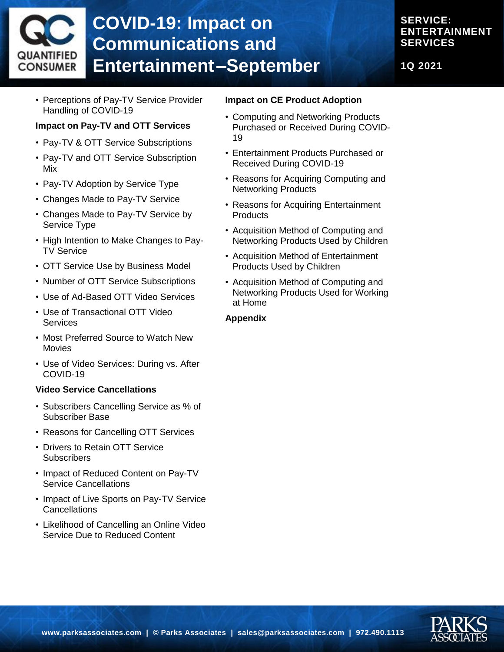# **COVID-19: Impact on Communications and**  QUANTIFIED **Entertainment–September** CONSUMER

## **SERVICE: ENTERTAINMENT SERVICES**

**1Q 2021**

• Perceptions of Pay-TV Service Provider Handling of COVID-19

#### **Impact on Pay-TV and OTT Services**

- Pay-TV & OTT Service Subscriptions
- Pay-TV and OTT Service Subscription Mix
- Pay-TV Adoption by Service Type
- Changes Made to Pay-TV Service
- Changes Made to Pay-TV Service by Service Type
- High Intention to Make Changes to Pay-TV Service
- OTT Service Use by Business Model
- Number of OTT Service Subscriptions
- Use of Ad-Based OTT Video Services
- Use of Transactional OTT Video **Services**
- Most Preferred Source to Watch New Movies
- Use of Video Services: During vs. After COVID-19

#### **Video Service Cancellations**

- Subscribers Cancelling Service as % of Subscriber Base
- Reasons for Cancelling OTT Services
- Drivers to Retain OTT Service **Subscribers**
- Impact of Reduced Content on Pay-TV Service Cancellations
- Impact of Live Sports on Pay-TV Service **Cancellations**
- Likelihood of Cancelling an Online Video Service Due to Reduced Content

#### **Impact on CE Product Adoption**

- Computing and Networking Products Purchased or Received During COVID-19
- Entertainment Products Purchased or Received During COVID-19
- Reasons for Acquiring Computing and Networking Products
- Reasons for Acquiring Entertainment **Products**
- Acquisition Method of Computing and Networking Products Used by Children
- Acquisition Method of Entertainment Products Used by Children
- Acquisition Method of Computing and Networking Products Used for Working at Home

#### **Appendix**